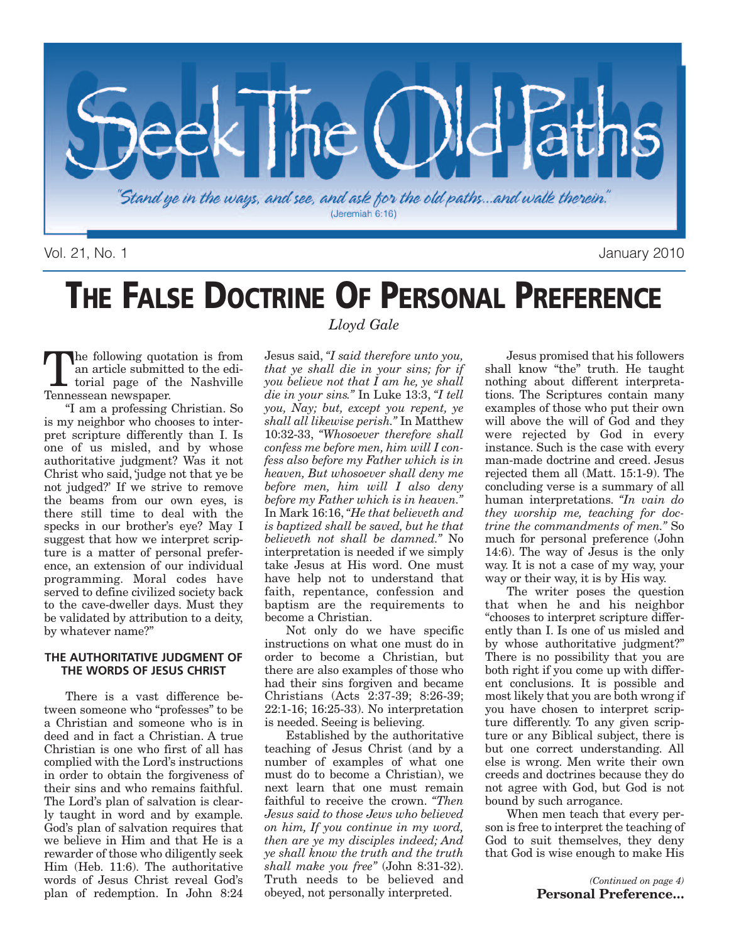

Vol. 21, No. 1 January 2010

## **THE FALSE DOCTRINE OF PERSONAL PREFERENCE**

The following quotation is from<br>
an article submitted to the edi-<br>
torial page of the Nashville<br>
Tennessean newspaper an article submitted to the edi-Tennessean newspaper.

"I am a professing Christian. So is my neighbor who chooses to interpret scripture differently than I. Is one of us misled, and by whose authoritative judgment? Was it not Christ who said, 'judge not that ye be not judged?' If we strive to remove the beams from our own eyes, is there still time to deal with the specks in our brother's eye? May I suggest that how we interpret scripture is a matter of personal preference, an extension of our individual programming. Moral codes have served to define civilized society back to the cave-dweller days. Must they be validated by attribution to a deity, by whatever name?"

### **THE AUTHORITATIVE JUDGMENT OF THE WORDS OF JESUS CHRIST**

There is a vast difference between someone who "professes" to be a Christian and someone who is in deed and in fact a Christian. A true Christian is one who first of all has complied with the Lord's instructions in order to obtain the forgiveness of their sins and who remains faithful. The Lord's plan of salvation is clearly taught in word and by example. God's plan of salvation requires that we believe in Him and that He is a rewarder of those who diligently seek Him (Heb. 11:6). The authoritative words of Jesus Christ reveal God's plan of redemption. In John 8:24

*Lloyd Gale*

Jesus said, *"I said therefore unto you, that ye shall die in your sins; for if you believe not that I am he, ye shall die in your sins."* In Luke 13:3, *"I tell you, Nay; but, except you repent, ye shall all likewise perish."* In Matthew 10:32-33, *"Whosoever therefore shall confess me before men, him will I confess also before my Father which is in heaven, But whosoever shall deny me before men, him will I also deny before my Father which is in heaven."* In Mark 16:16,*"He that believeth and is baptized shall be saved, but he that believeth not shall be damned."* No interpretation is needed if we simply take Jesus at His word. One must have help not to understand that faith, repentance, confession and baptism are the requirements to become a Christian.

Not only do we have specific instructions on what one must do in order to become a Christian, but there are also examples of those who had their sins forgiven and became Christians (Acts 2:37-39; 8:26-39; 22:1-16; 16:25-33). No interpretation is needed. Seeing is believing.

Established by the authoritative teaching of Jesus Christ (and by a number of examples of what one must do to become a Christian), we next learn that one must remain faithful to receive the crown. *"Then Jesus said to those Jews who believed on him, If you continue in my word, then are ye my disciples indeed; And ye shall know the truth and the truth shall make you free"* (John 8:31-32). Truth needs to be believed and obeyed, not personally interpreted.

Jesus promised that his followers shall know "the" truth. He taught nothing about different interpretations. The Scriptures contain many examples of those who put their own will above the will of God and they were rejected by God in every instance. Such is the case with every man-made doctrine and creed. Jesus rejected them all (Matt. 15:1-9). The concluding verse is a summary of all human interpretations. *"In vain do they worship me, teaching for doctrine the commandments of men."* So much for personal preference (John 14:6). The way of Jesus is the only way. It is not a case of my way, your way or their way, it is by His way.

The writer poses the question that when he and his neighbor "chooses to interpret scripture differently than I. Is one of us misled and by whose authoritative judgment?" There is no possibility that you are both right if you come up with different conclusions. It is possible and most likely that you are both wrong if you have chosen to interpret scripture differently. To any given scripture or any Biblical subject, there is but one correct understanding. All else is wrong. Men write their own creeds and doctrines because they do not agree with God, but God is not bound by such arrogance.

When men teach that every person is free to interpret the teaching of God to suit themselves, they deny that God is wise enough to make His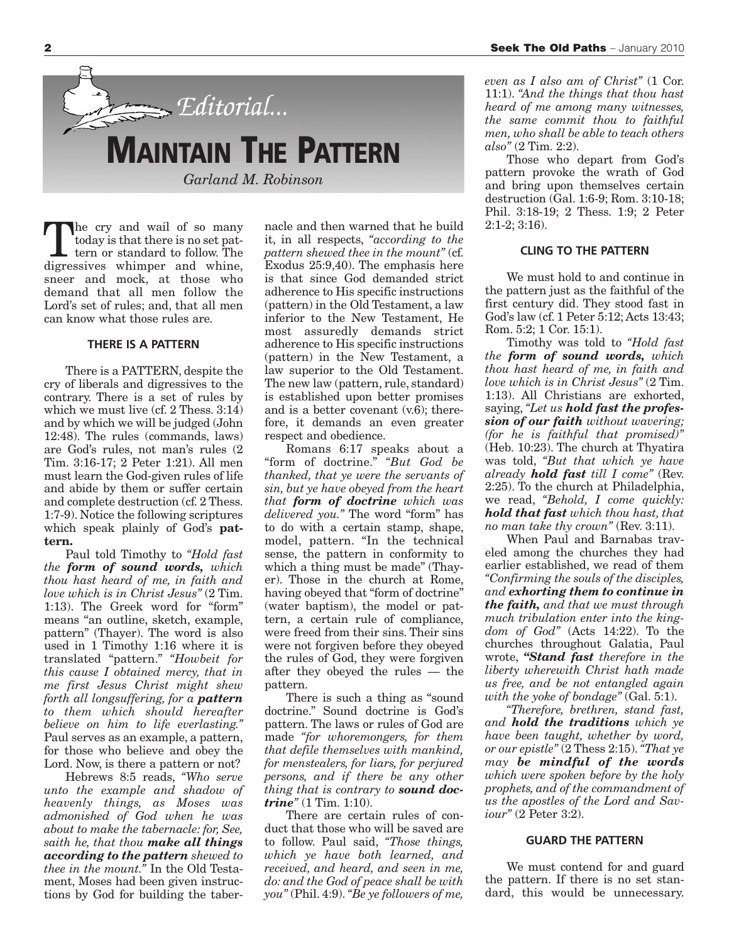

the cry and wail of so many today is that there is no set pattern or standard to follow. The digressives whimper and whine, sneer and mock, at those who demand that all men follow the Lord's set of rules; and, that all men can know what those rules are.

### **THERE IS A PATTERN**

There is a PATTERN, despite the cry of liberals and digressives to the contrary. There is a set of rules by which we must live (cf. 2 Thess. 3:14) and by which we will be judged (John 12:48). The rules (commands, laws) are God's rules, not man's rules (2 Tim. 3:16-17; 2 Peter 1:21). All men must learn the God-given rules of life and abide by them or suffer certain and complete destruction (cf. 2 Thess. 1:7-9). Notice the following scriptures which speak plainly of God's **pattern.**

Paul told Timothy to *"Hold fast the form of sound words, which thou hast heard of me, in faith and love which is in Christ Jesus"* (2 Tim. 1:13). The Greek word for "form" means "an outline, sketch, example, pattern" (Thayer). The word is also used in 1 Timothy 1:16 where it is translated "pattern." *"Howbeit for this cause I obtained mercy, that in me first Jesus Christ might shew forth all longsuffering, for a pattern to them which should hereafter believe on him to life everlasting."* Paul serves as an example, a pattern, for those who believe and obey the Lord. Now, is there a pattern or not?

Hebrews 8:5 reads, *"Who serve unto the example and shadow of heavenly things, as Moses was admonished of God when he was about to make the tabernacle: for, See, saith he, that thou make all things according to the pattern shewed to thee in the mount."* In the Old Testament, Moses had been given instructions by God for building the tabernacle and then warned that he build it, in all respects, *"according to the pattern shewed thee in the mount"* (cf. Exodus 25:9,40). The emphasis here is that since God demanded strict adherence to His specific instructions (pattern) in the Old Testament, a law inferior to the New Testament, He most assuredly demands strict adherence to His specific instructions (pattern) in the New Testament, a law superior to the Old Testament. The new law (pattern, rule, standard) is established upon better promises and is a better covenant (v.6); therefore, it demands an even greater respect and obedience.

Romans 6:17 speaks about a "form of doctrine." *"But God be thanked, that ye were the servants of sin, but ye have obeyed from the heart that form of doctrine which was delivered you."* The word "form" has to do with a certain stamp, shape, model, pattern. "In the technical sense, the pattern in conformity to which a thing must be made" (Thayer). Those in the church at Rome, having obeyed that "form of doctrine" (water baptism), the model or pattern, a certain rule of compliance, were freed from their sins. Their sins were not forgiven before they obeyed the rules of God, they were forgiven after they obeyed the rules — the pattern.

There is such a thing as "sound doctrine." Sound doctrine is God's pattern. The laws or rules of God are made *"for whoremongers, for them that defile themselves with mankind, for menstealers, for liars, for perjured persons, and if there be any other thing that is contrary to sound doctrine"* (1 Tim. 1:10).

There are certain rules of conduct that those who will be saved are to follow. Paul said, *"Those things, which ye have both learned, and received, and heard, and seen in me, do: and the God of peace shall be with you"* (Phil. 4:9).*"Be ye followers of me,* *even as I also am of Christ"* (1 Cor. 11:1). *"And the things that thou hast heard of me among many witnesses, the same commit thou to faithful men, who shall be able to teach others also"* (2 Tim. 2:2).

Those who depart from God's pattern provoke the wrath of God and bring upon themselves certain destruction (Gal. 1:6-9; Rom. 3:10-18; Phil. 3:18-19; 2 Thess. 1:9; 2 Peter 2:1-2; 3:16).

### **CLING TO THE PATTERN**

We must hold to and continue in the pattern just as the faithful of the first century did. They stood fast in God's law (cf. 1 Peter 5:12; Acts 13:43; Rom. 5:2; 1 Cor. 15:1).

Timothy was told to *"Hold fast the form of sound words, which thou hast heard of me, in faith and love which is in Christ Jesus"* (2 Tim. 1:13). All Christians are exhorted, saying, *"Let us hold fast the profession of our faith without wavering; (for he is faithful that promised)"* (Heb. 10:23). The church at Thyatira was told, *"But that which ye have already hold fast till I come"* (Rev. 2:25). To the church at Philadelphia, we read, *"Behold, I come quickly: hold that fast which thou hast, that no man take thy crown"* (Rev. 3:11).

When Paul and Barnabas traveled among the churches they had earlier established, we read of them *"Confirming the souls of the disciples, and exhorting them to continue in the faith, and that we must through much tribulation enter into the kingdom of God"* (Acts 14:22). To the churches throughout Galatia, Paul wrote, *"Stand fast therefore in the liberty wherewith Christ hath made us free, and be not entangled again with the yoke of bondage"* (Gal. 5:1).

*"Therefore, brethren, stand fast, and hold the traditions which ye have been taught, whether by word, or our epistle"* (2 Thess 2:15).*"That ye may be mindful of the words which were spoken before by the holy prophets, and of the commandment of us the apostles of the Lord and Saviour"* (2 Peter 3:2).

#### **GUARD THE PATTERN**

We must contend for and guard the pattern. If there is no set standard, this would be unnecessary.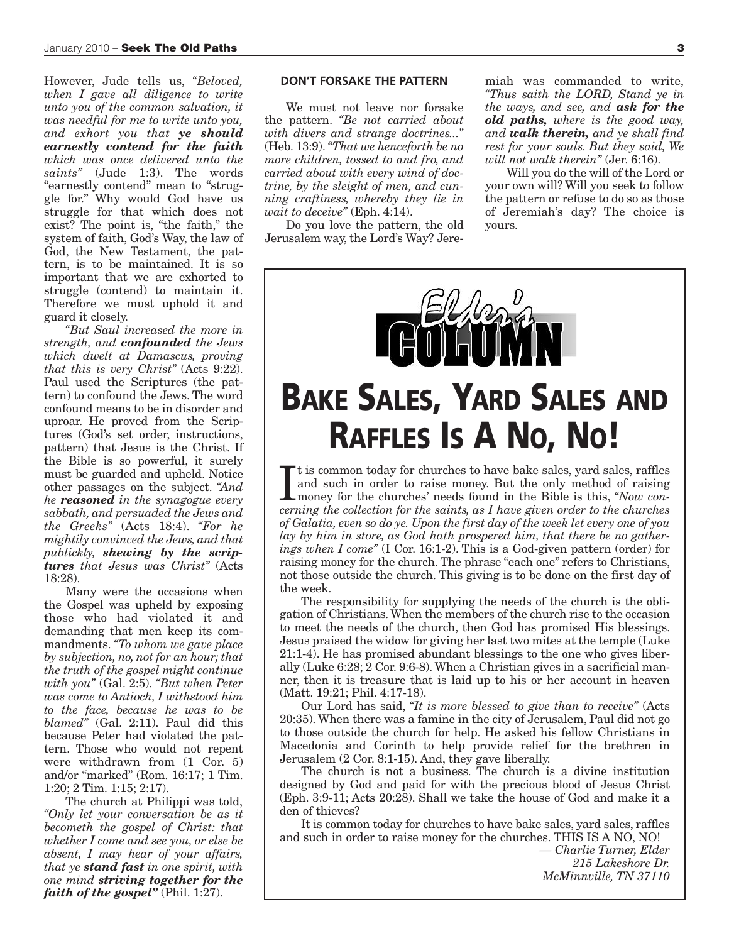However, Jude tells us, *"Beloved, when I gave all diligence to write unto you of the common salvation, it was needful for me to write unto you, and exhort you that ye should earnestly contend for the faith which was once delivered unto the saints"* (Jude 1:3). The words "earnestly contend" mean to "struggle for." Why would God have us struggle for that which does not exist? The point is, "the faith," the system of faith, God's Way, the law of God, the New Testament, the pattern, is to be maintained. It is so important that we are exhorted to struggle (contend) to maintain it. Therefore we must uphold it and guard it closely.

*"But Saul increased the more in strength, and confounded the Jews which dwelt at Damascus, proving that this is very Christ"* (Acts 9:22). Paul used the Scriptures (the pattern) to confound the Jews. The word confound means to be in disorder and uproar. He proved from the Scriptures (God's set order, instructions, pattern) that Jesus is the Christ. If the Bible is so powerful, it surely must be guarded and upheld. Notice other passages on the subject. *"And he reasoned in the synagogue every sabbath, and persuaded the Jews and the Greeks"* (Acts 18:4). *"For he mightily convinced the Jews, and that publickly, shewing by the scriptures that Jesus was Christ"* (Acts 18:28).

Many were the occasions when the Gospel was upheld by exposing those who had violated it and demanding that men keep its commandments. *"To whom we gave place by subjection, no, not for an hour; that the truth of the gospel might continue with you"* (Gal. 2:5). *"But when Peter was come to Antioch, I withstood him to the face, because he was to be blamed"* (Gal. 2:11). Paul did this because Peter had violated the pattern. Those who would not repent were withdrawn from (1 Cor. 5) and/or "marked" (Rom. 16:17; 1 Tim. 1:20; 2 Tim. 1:15; 2:17).

The church at Philippi was told, *"Only let your conversation be as it becometh the gospel of Christ: that whether I come and see you, or else be absent, I may hear of your affairs, that ye stand fast in one spirit, with one mind striving together for the faith of the gospel"* (Phil. 1:27).

#### **DON'T FORSAKE THE PATTERN**

We must not leave nor forsake the pattern. *"Be not carried about with divers and strange doctrines..."* (Heb. 13:9).*"That we henceforth be no more children, tossed to and fro, and carried about with every wind of doctrine, by the sleight of men, and cunning craftiness, whereby they lie in wait to deceive"* (Eph. 4:14).

Do you love the pattern, the old Jerusalem way, the Lord's Way? Jere-

miah was commanded to write, *"Thus saith the LORD, Stand ye in the ways, and see, and ask for the old paths, where is the good way, and walk therein, and ye shall find rest for your souls. But they said, We will not walk therein"* (Jer. 6:16).

Will you do the will of the Lord or your own will? Will you seek to follow the pattern or refuse to do so as those of Jeremiah's day? The choice is yours.



If is common today for churches to have bake sales, yard sales, raffles and such in order to raise money. But the only method of raising money for the churches' needs found in the Bible is this, "Now concerning the collect t is common today for churches to have bake sales, yard sales, raffles and such in order to raise money. But the only method of raising money for the churches' needs found in the Bible is this, *"Now conof Galatia, even so do ye. Upon the first day of the week let every one of you lay by him in store, as God hath prospered him, that there be no gatherings when I come"* (I Cor. 16:1-2). This is a God-given pattern (order) for raising money for the church. The phrase "each one" refers to Christians, not those outside the church. This giving is to be done on the first day of the week.

The responsibility for supplying the needs of the church is the obligation of Christians.When the members of the church rise to the occasion to meet the needs of the church, then God has promised His blessings. Jesus praised the widow for giving her last two mites at the temple (Luke 21:1-4). He has promised abundant blessings to the one who gives liberally (Luke 6:28; 2 Cor. 9:6-8). When a Christian gives in a sacrificial manner, then it is treasure that is laid up to his or her account in heaven (Matt. 19:21; Phil. 4:17-18).

Our Lord has said, *"It is more blessed to give than to receive"* (Acts 20:35). When there was a famine in the city of Jerusalem, Paul did not go to those outside the church for help. He asked his fellow Christians in Macedonia and Corinth to help provide relief for the brethren in Jerusalem (2 Cor. 8:1-15). And, they gave liberally.

The church is not a business. The church is a divine institution designed by God and paid for with the precious blood of Jesus Christ (Eph. 3:9-11; Acts 20:28). Shall we take the house of God and make it a den of thieves?

It is common today for churches to have bake sales, yard sales, raffles and such in order to raise money for the churches. THIS IS A NO, NO!

*— Charlie Turner, Elder 215 Lakeshore Dr. McMinnville, TN 37110*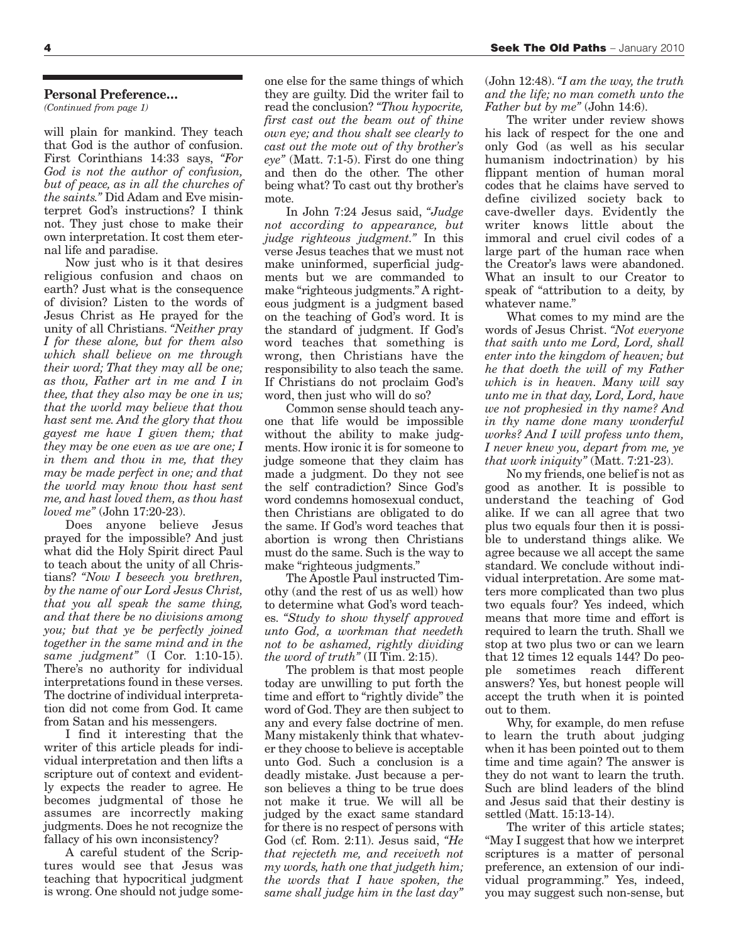### **Personal Preference…**

*(Continued from page 1)*

will plain for mankind. They teach that God is the author of confusion. First Corinthians 14:33 says, *"For God is not the author of confusion, but of peace, as in all the churches of the saints."* Did Adam and Eve misinterpret God's instructions? I think not. They just chose to make their own interpretation. It cost them eternal life and paradise.

Now just who is it that desires religious confusion and chaos on earth? Just what is the consequence of division? Listen to the words of Jesus Christ as He prayed for the unity of all Christians. *"Neither pray I for these alone, but for them also which shall believe on me through their word; That they may all be one; as thou, Father art in me and I in thee, that they also may be one in us; that the world may believe that thou hast sent me. And the glory that thou gayest me have I given them; that they may be one even as we are one; I in them and thou in me, that they may be made perfect in one; and that the world may know thou hast sent me, and hast loved them, as thou hast loved me"* (John 17:20-23).

Does anyone believe Jesus prayed for the impossible? And just what did the Holy Spirit direct Paul to teach about the unity of all Christians? *"Now I beseech you brethren, by the name of our Lord Jesus Christ, that you all speak the same thing, and that there be no divisions among you; but that ye be perfectly joined together in the same mind and in the same judgment"* (I Cor. 1:10-15). There's no authority for individual interpretations found in these verses. The doctrine of individual interpretation did not come from God. It came from Satan and his messengers.

I find it interesting that the writer of this article pleads for individual interpretation and then lifts a scripture out of context and evidently expects the reader to agree. He becomes judgmental of those he assumes are incorrectly making judgments. Does he not recognize the fallacy of his own inconsistency?

A careful student of the Scriptures would see that Jesus was teaching that hypocritical judgment is wrong. One should not judge some-

one else for the same things of which they are guilty. Did the writer fail to read the conclusion? *"Thou hypocrite, first cast out the beam out of thine own eye; and thou shalt see clearly to cast out the mote out of thy brother's eye"* (Matt. 7:1-5). First do one thing and then do the other. The other being what? To cast out thy brother's mote.

In John 7:24 Jesus said, *"Judge not according to appearance, but judge righteous judgment."* In this verse Jesus teaches that we must not make uninformed, superficial judgments but we are commanded to make "righteous judgments." A righteous judgment is a judgment based on the teaching of God's word. It is the standard of judgment. If God's word teaches that something is wrong, then Christians have the responsibility to also teach the same. If Christians do not proclaim God's word, then just who will do so?

Common sense should teach anyone that life would be impossible without the ability to make judgments. How ironic it is for someone to judge someone that they claim has made a judgment. Do they not see the self contradiction? Since God's word condemns homosexual conduct, then Christians are obligated to do the same. If God's word teaches that abortion is wrong then Christians must do the same. Such is the way to make "righteous judgments."

The Apostle Paul instructed Timothy (and the rest of us as well) how to determine what God's word teaches. *"Study to show thyself approved unto God, a workman that needeth not to be ashamed, rightly dividing the word of truth"* (II Tim. 2:15).

The problem is that most people today are unwilling to put forth the time and effort to "rightly divide" the word of God. They are then subject to any and every false doctrine of men. Many mistakenly think that whatever they choose to believe is acceptable unto God. Such a conclusion is a deadly mistake. Just because a person believes a thing to be true does not make it true. We will all be judged by the exact same standard for there is no respect of persons with God (cf. Rom. 2:11). Jesus said, *"He that rejecteth me, and receiveth not my words, hath one that judgeth him; the words that I have spoken, the same shall judge him in the last day"*

(John 12:48). *"I am the way, the truth and the life; no man cometh unto the Father but by me"* (John 14:6).

The writer under review shows his lack of respect for the one and only God (as well as his secular humanism indoctrination) by his flippant mention of human moral codes that he claims have served to define civilized society back to cave-dweller days. Evidently the writer knows little about the immoral and cruel civil codes of a large part of the human race when the Creator's laws were abandoned. What an insult to our Creator to speak of "attribution to a deity, by whatever name."

What comes to my mind are the words of Jesus Christ. *"Not everyone that saith unto me Lord, Lord, shall enter into the kingdom of heaven; but he that doeth the will of my Father which is in heaven. Many will say unto me in that day, Lord, Lord, have we not prophesied in thy name? And in thy name done many wonderful works? And I will profess unto them, I never knew you, depart from me, ye that work iniquity"* (Matt. 7:21-23).

No my friends, one belief is not as good as another. It is possible to understand the teaching of God alike. If we can all agree that two plus two equals four then it is possible to understand things alike. We agree because we all accept the same standard. We conclude without individual interpretation. Are some matters more complicated than two plus two equals four? Yes indeed, which means that more time and effort is required to learn the truth. Shall we stop at two plus two or can we learn that 12 times 12 equals 144? Do people sometimes reach different answers? Yes, but honest people will accept the truth when it is pointed out to them.

Why, for example, do men refuse to learn the truth about judging when it has been pointed out to them time and time again? The answer is they do not want to learn the truth. Such are blind leaders of the blind and Jesus said that their destiny is settled (Matt. 15:13-14).

The writer of this article states; "May I suggest that how we interpret scriptures is a matter of personal preference, an extension of our individual programming." Yes, indeed, you may suggest such non-sense, but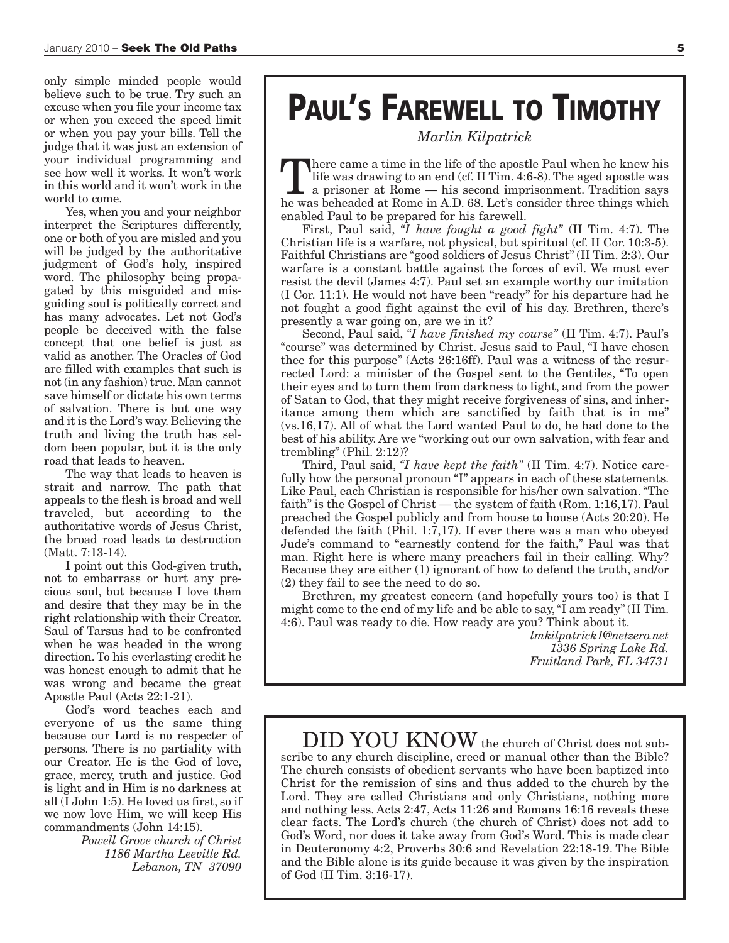only simple minded people would believe such to be true. Try such an excuse when you file your income tax or when you exceed the speed limit or when you pay your bills. Tell the judge that it was just an extension of your individual programming and see how well it works. It won't work in this world and it won't work in the world to come.

Yes, when you and your neighbor interpret the Scriptures differently, one or both of you are misled and you will be judged by the authoritative judgment of God's holy, inspired word. The philosophy being propagated by this misguided and misguiding soul is politically correct and has many advocates. Let not God's people be deceived with the false concept that one belief is just as valid as another. The Oracles of God are filled with examples that such is not (in any fashion) true. Man cannot save himself or dictate his own terms of salvation. There is but one way and it is the Lord's way. Believing the truth and living the truth has seldom been popular, but it is the only road that leads to heaven.

The way that leads to heaven is strait and narrow. The path that appeals to the flesh is broad and well traveled, but according to the authoritative words of Jesus Christ, the broad road leads to destruction (Matt. 7:13-14).

I point out this God-given truth, not to embarrass or hurt any precious soul, but because I love them and desire that they may be in the right relationship with their Creator. Saul of Tarsus had to be confronted when he was headed in the wrong direction.To his everlasting credit he was honest enough to admit that he was wrong and became the great Apostle Paul (Acts 22:1-21).

God's word teaches each and everyone of us the same thing because our Lord is no respecter of persons. There is no partiality with our Creator. He is the God of love, grace, mercy, truth and justice. God is light and in Him is no darkness at all (I John 1:5). He loved us first, so if we now love Him, we will keep His commandments (John 14:15).

> *Powell Grove church of Christ 1186 Martha Leeville Rd. Lebanon, TN 37090*

### **PAUL'S FAREWELL TO TIMOTHY**

*Marlin Kilpatrick*

There came a time in the life of the apostle Paul when he knew his<br>
a prisoner at Rome — his second imprisonment. Tradition says<br>
be was beheaded at Rome in A D 68. Let's consider three things which life was drawing to an end (cf. II Tim. 4:6-8). The aged apostle was he was beheaded at Rome in A.D. 68. Let's consider three things which enabled Paul to be prepared for his farewell.

First, Paul said, *"I have fought a good fight"* (II Tim. 4:7). The Christian life is a warfare, not physical, but spiritual (cf. II Cor. 10:3-5). Faithful Christians are "good soldiers of Jesus Christ" (II Tim. 2:3). Our warfare is a constant battle against the forces of evil. We must ever resist the devil (James 4:7). Paul set an example worthy our imitation (I Cor. 11:1). He would not have been "ready" for his departure had he not fought a good fight against the evil of his day. Brethren, there's presently a war going on, are we in it?

Second, Paul said, *"I have finished my course"* (II Tim. 4:7). Paul's "course" was determined by Christ. Jesus said to Paul, "I have chosen thee for this purpose" (Acts 26:16ff). Paul was a witness of the resurrected Lord: a minister of the Gospel sent to the Gentiles, "To open their eyes and to turn them from darkness to light, and from the power of Satan to God, that they might receive forgiveness of sins, and inheritance among them which are sanctified by faith that is in me" (vs.16,17). All of what the Lord wanted Paul to do, he had done to the best of his ability. Are we "working out our own salvation, with fear and trembling" (Phil. 2:12)?

Third, Paul said, *"I have kept the faith"* (II Tim. 4:7). Notice carefully how the personal pronoun "I" appears in each of these statements. Like Paul, each Christian is responsible for his/her own salvation."The faith" is the Gospel of Christ — the system of faith (Rom. 1:16,17). Paul preached the Gospel publicly and from house to house (Acts 20:20). He defended the faith (Phil. 1:7,17). If ever there was a man who obeyed Jude's command to "earnestly contend for the faith," Paul was that man. Right here is where many preachers fail in their calling. Why? Because they are either (1) ignorant of how to defend the truth, and/or (2) they fail to see the need to do so.

Brethren, my greatest concern (and hopefully yours too) is that I might come to the end of my life and be able to say,"I am ready" (II Tim. 4:6). Paul was ready to die. How ready are you? Think about it.

*lmkilpatrick1@netzero.net 1336 Spring Lake Rd. Fruitland Park, FL 34731*

### DID YOU KNOW the church of Christ does not sub-

scribe to any church discipline, creed or manual other than the Bible? The church consists of obedient servants who have been baptized into Christ for the remission of sins and thus added to the church by the Lord. They are called Christians and only Christians, nothing more and nothing less. Acts 2:47, Acts 11:26 and Romans 16:16 reveals these clear facts. The Lord's church (the church of Christ) does not add to God's Word, nor does it take away from God's Word. This is made clear in Deuteronomy 4:2, Proverbs 30:6 and Revelation 22:18-19. The Bible and the Bible alone is its guide because it was given by the inspiration of God (II Tim. 3:16-17).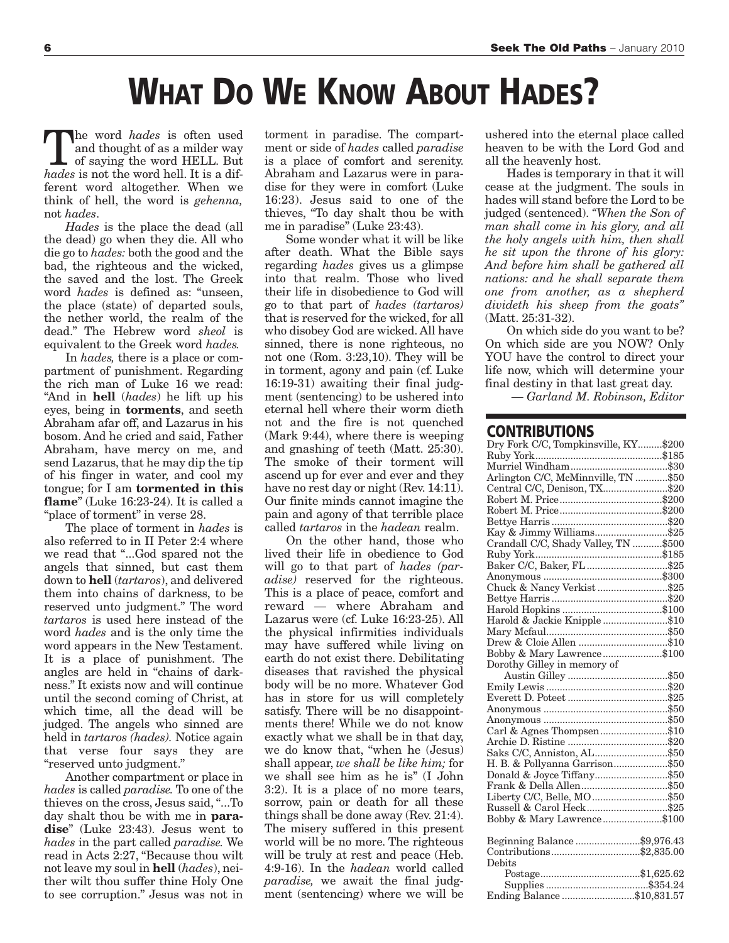### **WHAT DO WE KNOW ABOUT HADES?**

The word *hades* is often used<br>and thought of as a milder way<br>of saying the word HELL. But<br>hades is not the word hell. It is a difand thought of as a milder way *hades* is not the word hell. It is a different word altogether. When we think of hell, the word is *gehenna,* not *hades*.

*Hades* is the place the dead (all the dead) go when they die. All who die go to *hades:* both the good and the bad, the righteous and the wicked, the saved and the lost. The Greek word *hades* is defined as: "unseen, the place (state) of departed souls, the nether world, the realm of the dead." The Hebrew word *sheol* is equivalent to the Greek word *hades.*

In *hades,* there is a place or compartment of punishment. Regarding the rich man of Luke 16 we read: "And in **hell** (*hades*) he lift up his eyes, being in **torments**, and seeth Abraham afar off, and Lazarus in his bosom. And he cried and said, Father Abraham, have mercy on me, and send Lazarus, that he may dip the tip of his finger in water, and cool my tongue; for I am **tormented in this flame**" (Luke 16:23-24). It is called a "place of torment" in verse 28.

The place of torment in *hades* is also referred to in II Peter 2:4 where we read that "...God spared not the angels that sinned, but cast them down to **hell** (*tartaros*), and delivered them into chains of darkness, to be reserved unto judgment." The word *tartaros* is used here instead of the word *hades* and is the only time the word appears in the New Testament. It is a place of punishment. The angles are held in "chains of darkness." It exists now and will continue until the second coming of Christ, at which time, all the dead will be judged. The angels who sinned are held in *tartaros (hades).* Notice again that verse four says they are "reserved unto judgment."

Another compartment or place in *hades* is called *paradise.* To one of the thieves on the cross, Jesus said,"...To day shalt thou be with me in **paradise**" (Luke 23:43). Jesus went to *hades* in the part called *paradise.* We read in Acts 2:27, "Because thou wilt not leave my soul in **hell** (*hades*), neither wilt thou suffer thine Holy One to see corruption." Jesus was not in

torment in paradise. The compartment or side of *hades* called *paradise* is a place of comfort and serenity. Abraham and Lazarus were in paradise for they were in comfort (Luke 16:23). Jesus said to one of the thieves, "To day shalt thou be with me in paradise" (Luke 23:43).

Some wonder what it will be like after death. What the Bible says regarding *hades* gives us a glimpse into that realm. Those who lived their life in disobedience to God will go to that part of *hades (tartaros)* that is reserved for the wicked, for all who disobey God are wicked. All have sinned, there is none righteous, no not one (Rom. 3:23,10). They will be in torment, agony and pain (cf. Luke 16:19-31) awaiting their final judgment (sentencing) to be ushered into eternal hell where their worm dieth not and the fire is not quenched (Mark 9:44), where there is weeping and gnashing of teeth (Matt. 25:30). The smoke of their torment will ascend up for ever and ever and they have no rest day or night (Rev. 14:11). Our finite minds cannot imagine the pain and agony of that terrible place called *tartaros* in the *hadean* realm.

On the other hand, those who lived their life in obedience to God will go to that part of *hades (paradise)* reserved for the righteous. This is a place of peace, comfort and reward — where Abraham and Lazarus were (cf. Luke 16:23-25). All the physical infirmities individuals may have suffered while living on earth do not exist there. Debilitating diseases that ravished the physical body will be no more. Whatever God has in store for us will completely satisfy. There will be no disappointments there! While we do not know exactly what we shall be in that day, we do know that, "when he (Jesus) shall appear, *we shall be like him;* for we shall see him as he is" (I John 3:2). It is a place of no more tears, sorrow, pain or death for all these things shall be done away (Rev. 21:4). The misery suffered in this present world will be no more. The righteous will be truly at rest and peace (Heb. 4:9-16). In the *hadean* world called *paradise,* we await the final judgment (sentencing) where we will be

ushered into the eternal place called heaven to be with the Lord God and all the heavenly host.

Hades is temporary in that it will cease at the judgment. The souls in hades will stand before the Lord to be judged (sentenced). *"When the Son of man shall come in his glory, and all the holy angels with him, then shall he sit upon the throne of his glory: And before him shall be gathered all nations: and he shall separate them one from another, as a shepherd divideth his sheep from the goats"* (Matt. 25:31-32).

On which side do you want to be? On which side are you NOW? Only YOU have the control to direct your life now, which will determine your final destiny in that last great day.

— *Garland M. Robinson, Editor*

### **CONTRIBUTIONS**

| Dry Fork C/C, Tompkinsville, KY\$200                                                                                                                                                                                                                                                                                                                                                                               |  |
|--------------------------------------------------------------------------------------------------------------------------------------------------------------------------------------------------------------------------------------------------------------------------------------------------------------------------------------------------------------------------------------------------------------------|--|
|                                                                                                                                                                                                                                                                                                                                                                                                                    |  |
|                                                                                                                                                                                                                                                                                                                                                                                                                    |  |
| Arlington C/C, McMinnville, TN \$50                                                                                                                                                                                                                                                                                                                                                                                |  |
| Central C/C, Denison, TX\$20                                                                                                                                                                                                                                                                                                                                                                                       |  |
|                                                                                                                                                                                                                                                                                                                                                                                                                    |  |
|                                                                                                                                                                                                                                                                                                                                                                                                                    |  |
|                                                                                                                                                                                                                                                                                                                                                                                                                    |  |
| Kay & Jimmy Williams\$25                                                                                                                                                                                                                                                                                                                                                                                           |  |
| Crandall C/C, Shady Valley, TN \$500                                                                                                                                                                                                                                                                                                                                                                               |  |
|                                                                                                                                                                                                                                                                                                                                                                                                                    |  |
|                                                                                                                                                                                                                                                                                                                                                                                                                    |  |
| ${\bf Anonymous}\dots\hspace{-0.5ex}\dots\hspace{-0.5ex}\dots\hspace{-0.5ex}\dots\hspace{-0.5ex}\dots\hspace{-0.5ex}\dots\hspace{-0.5ex}\dots\hspace{-0.5ex}\dots\hspace{-0.5ex}\dots\hspace{-0.5ex}\dots\hspace{-0.5ex}\dots\hspace{-0.5ex}\dots\hspace{-0.5ex}\dots\hspace{-0.5ex}\dots\hspace{-0.5ex}\dots\hspace{-0.5ex}\dots\hspace{-0.5ex}\dots\hspace{-0.5ex}\dots\hspace{-0.5ex}\dots\hspace{-0.5ex}\dots$ |  |
|                                                                                                                                                                                                                                                                                                                                                                                                                    |  |
|                                                                                                                                                                                                                                                                                                                                                                                                                    |  |
|                                                                                                                                                                                                                                                                                                                                                                                                                    |  |
| Harold & Jackie Knipple\$10                                                                                                                                                                                                                                                                                                                                                                                        |  |
|                                                                                                                                                                                                                                                                                                                                                                                                                    |  |
|                                                                                                                                                                                                                                                                                                                                                                                                                    |  |
| Bobby & Mary Lawrence\$100                                                                                                                                                                                                                                                                                                                                                                                         |  |
| Dorothy Gilley in memory of                                                                                                                                                                                                                                                                                                                                                                                        |  |
|                                                                                                                                                                                                                                                                                                                                                                                                                    |  |
|                                                                                                                                                                                                                                                                                                                                                                                                                    |  |
|                                                                                                                                                                                                                                                                                                                                                                                                                    |  |
|                                                                                                                                                                                                                                                                                                                                                                                                                    |  |
|                                                                                                                                                                                                                                                                                                                                                                                                                    |  |
| Carl & Agnes Thompsen\$10                                                                                                                                                                                                                                                                                                                                                                                          |  |
|                                                                                                                                                                                                                                                                                                                                                                                                                    |  |
| Saks C/C, Anniston, AL\$50                                                                                                                                                                                                                                                                                                                                                                                         |  |
| H. B. & Pollyanna Garrison\$50                                                                                                                                                                                                                                                                                                                                                                                     |  |
| Donald & Joyce Tiffany\$50                                                                                                                                                                                                                                                                                                                                                                                         |  |
|                                                                                                                                                                                                                                                                                                                                                                                                                    |  |
| Liberty C/C, Belle, MO\$50                                                                                                                                                                                                                                                                                                                                                                                         |  |
| Russell & Carol Heck\$25                                                                                                                                                                                                                                                                                                                                                                                           |  |
| Bobby & Mary Lawrence\$100                                                                                                                                                                                                                                                                                                                                                                                         |  |
| Beginning Balance \$9,976.43                                                                                                                                                                                                                                                                                                                                                                                       |  |
| Contributions\$2,835.00                                                                                                                                                                                                                                                                                                                                                                                            |  |
| Debits                                                                                                                                                                                                                                                                                                                                                                                                             |  |
|                                                                                                                                                                                                                                                                                                                                                                                                                    |  |
|                                                                                                                                                                                                                                                                                                                                                                                                                    |  |
| Ending Balance \$10,831.57                                                                                                                                                                                                                                                                                                                                                                                         |  |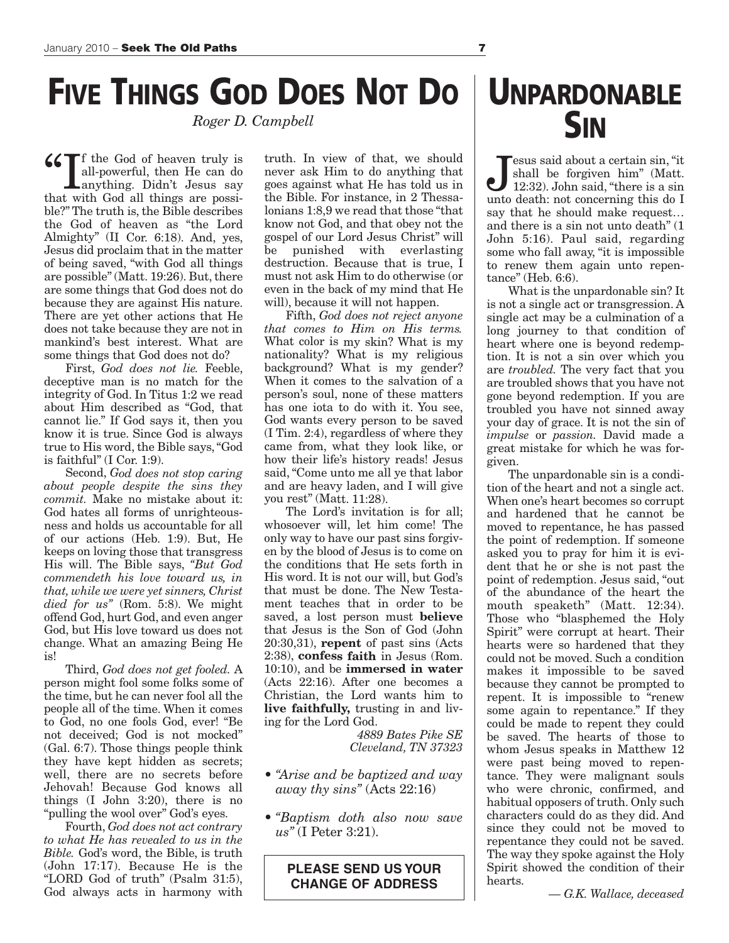## **FIVE THINGS GOD DOES NOT DO UNPARDONABLE**

*Roger D. Campbell*

**44** If the God of heaven truly is<br>all-powerful, then He can do<br>anything. Didn't Jesus say all-powerful, then He can do anything. Didn't Jesus say that with God all things are possible?" The truth is, the Bible describes the God of heaven as "the Lord Almighty" (II Cor. 6:18). And, yes, Jesus did proclaim that in the matter of being saved, "with God all things are possible" (Matt. 19:26). But, there are some things that God does not do because they are against His nature. There are yet other actions that He does not take because they are not in mankind's best interest. What are some things that God does not do?

First, *God does not lie.* Feeble, deceptive man is no match for the integrity of God. In Titus 1:2 we read about Him described as "God, that cannot lie." If God says it, then you know it is true. Since God is always true to His word, the Bible says,"God is faithful" (I Cor. 1:9).

Second, *God does not stop caring about people despite the sins they commit.* Make no mistake about it: God hates all forms of unrighteousness and holds us accountable for all of our actions (Heb. 1:9). But, He keeps on loving those that transgress His will. The Bible says, *"But God commendeth his love toward us, in that, while we were yet sinners, Christ died for us"* (Rom. 5:8). We might offend God, hurt God, and even anger God, but His love toward us does not change. What an amazing Being He is!

Third, *God does not get fooled.* A person might fool some folks some of the time, but he can never fool all the people all of the time. When it comes to God, no one fools God, ever! "Be not deceived; God is not mocked" (Gal. 6:7). Those things people think they have kept hidden as secrets; well, there are no secrets before Jehovah! Because God knows all things (I John 3:20), there is no "pulling the wool over" God's eyes.

Fourth, *God does not act contrary to what He has revealed to us in the Bible.* God's word, the Bible, is truth (John 17:17). Because He is the "LORD God of truth" (Psalm 31:5), God always acts in harmony with

truth. In view of that, we should never ask Him to do anything that goes against what He has told us in the Bible. For instance, in 2 Thessalonians 1:8,9 we read that those "that know not God, and that obey not the gospel of our Lord Jesus Christ" will be punished with everlasting destruction. Because that is true, I must not ask Him to do otherwise (or even in the back of my mind that He will), because it will not happen.

Fifth, *God does not reject anyone that comes to Him on His terms.* What color is my skin? What is my nationality? What is my religious background? What is my gender? When it comes to the salvation of <sup>a</sup> person's soul, none of these matters has one iota to do with it. You see, God wants every person to be saved (I Tim. 2:4), regardless of where they came from, what they look like, or how their life's history reads! Jesus said,"Come unto me all ye that labor and are heavy laden, and I will give you rest" (Matt. 11:28).

The Lord's invitation is for all; whosoever will, let him come! The only way to have our past sins forgiven by the blood of Jesus is to come on the conditions that He sets forth in His word. It is not our will, but God's that must be done. The New Testament teaches that in order to be saved, <sup>a</sup> lost person must **believe** that Jesus is the Son of God (John 20:30,31), **repent** of past sins (Acts 2:38), **confess faith** in Jesus (Rom. 10:10), and be **immersed in water** (Acts 22:16). After one becomes <sup>a</sup> Christian, the Lord wants him to **live faithfully,** trusting in and living for the Lord God.

*4889 Bates Pike SE Cleveland, TN 37323*

- *• "Arise and be baptized and way away thy sins"* (Acts 22:16)
- *• "Baptism doth also now save us"* (I Peter 3:21).

**PLEASE SEND US YOUR CHANGE OF ADDRESS**

# **SIN**

Sexus said about a certain sin, "it shall be forgiven him" (Matt.<br>12:32). John said, "there is a sin<br>unto death: not concerning this do I esus said about a certain sin. "it shall be forgiven him" (Matt. 12:32). John said, "there is a sin say that he should make request… and there is a sin not unto death" (1 John 5:16). Paul said, regarding some who fall away, "it is impossible to renew them again unto repentance" (Heb. 6:6).

What is the unpardonable sin? It is not a single act or transgression. A single act may be a culmination of a long journey to that condition of heart where one is beyond redemption. It is not a sin over which you are *troubled.* The very fact that you are troubled shows that you have not gone beyond redemption. If you are troubled you have not sinned away your day of grace. It is not the sin of *impulse* or *passion.* David made a great mistake for which he was forgiven.

The unpardonable sin is a condition of the heart and not a single act. When one's heart becomes so corrupt and hardened that he cannot be moved to repentance, he has passed the point of redemption. If someone asked you to pray for him it is evident that he or she is not past the point of redemption. Jesus said, "out of the abundance of the heart the mouth speaketh" (Matt. 12:34). Those who "blasphemed the Holy Spirit" were corrupt at heart. Their hearts were so hardened that they could not be moved. Such a condition makes it impossible to be saved because they cannot be prompted to repent. It is impossible to "renew some again to repentance." If they could be made to repent they could be saved. The hearts of those to whom Jesus speaks in Matthew 12 were past being moved to repentance. They were malignant souls who were chronic, confirmed, and habitual opposers of truth. Only such characters could do as they did. And since they could not be moved to repentance they could not be saved. The way they spoke against the Holy Spirit showed the condition of their hearts.

— *G.K. Wallace, deceased*